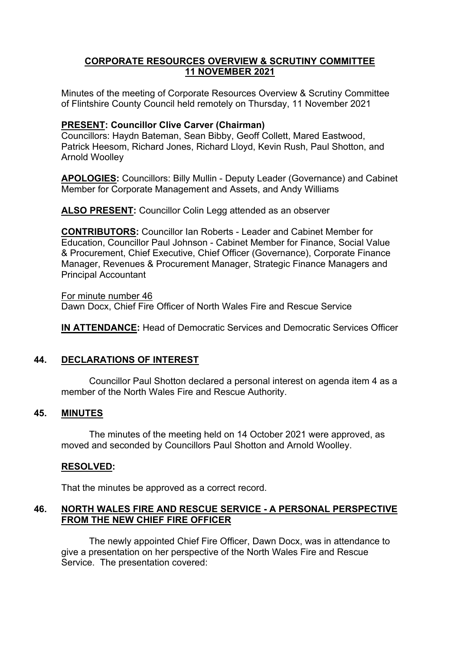## **CORPORATE RESOURCES OVERVIEW & SCRUTINY COMMITTEE 11 NOVEMBER 2021**

Minutes of the meeting of Corporate Resources Overview & Scrutiny Committee of Flintshire County Council held remotely on Thursday, 11 November 2021

# **PRESENT: Councillor Clive Carver (Chairman)**

Councillors: Haydn Bateman, Sean Bibby, Geoff Collett, Mared Eastwood, Patrick Heesom, Richard Jones, Richard Lloyd, Kevin Rush, Paul Shotton, and Arnold Woolley

**APOLOGIES:** Councillors: Billy Mullin - Deputy Leader (Governance) and Cabinet Member for Corporate Management and Assets, and Andy Williams

**ALSO PRESENT:** Councillor Colin Legg attended as an observer

**CONTRIBUTORS:** Councillor Ian Roberts - Leader and Cabinet Member for Education, Councillor Paul Johnson - Cabinet Member for Finance, Social Value & Procurement, Chief Executive, Chief Officer (Governance), Corporate Finance Manager, Revenues & Procurement Manager, Strategic Finance Managers and Principal Accountant

For minute number 46 Dawn Docx, Chief Fire Officer of North Wales Fire and Rescue Service

**IN ATTENDANCE:** Head of Democratic Services and Democratic Services Officer

### **44. DECLARATIONS OF INTEREST**

Councillor Paul Shotton declared a personal interest on agenda item 4 as a member of the North Wales Fire and Rescue Authority.

### **45. MINUTES**

The minutes of the meeting held on 14 October 2021 were approved, as moved and seconded by Councillors Paul Shotton and Arnold Woolley.

# **RESOLVED:**

That the minutes be approved as a correct record.

### **46. NORTH WALES FIRE AND RESCUE SERVICE - A PERSONAL PERSPECTIVE FROM THE NEW CHIEF FIRE OFFICER**

The newly appointed Chief Fire Officer, Dawn Docx, was in attendance to give a presentation on her perspective of the North Wales Fire and Rescue Service. The presentation covered: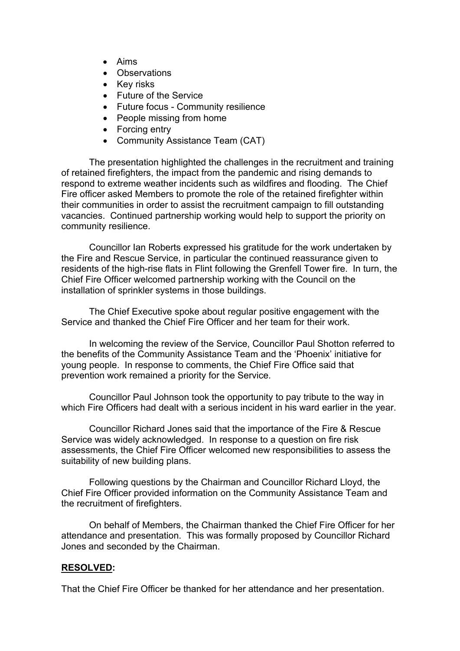- Aims
- Observations
- Key risks
- Future of the Service
- Future focus Community resilience
- People missing from home
- Forcing entry
- Community Assistance Team (CAT)

The presentation highlighted the challenges in the recruitment and training of retained firefighters, the impact from the pandemic and rising demands to respond to extreme weather incidents such as wildfires and flooding. The Chief Fire officer asked Members to promote the role of the retained firefighter within their communities in order to assist the recruitment campaign to fill outstanding vacancies. Continued partnership working would help to support the priority on community resilience.

Councillor Ian Roberts expressed his gratitude for the work undertaken by the Fire and Rescue Service, in particular the continued reassurance given to residents of the high-rise flats in Flint following the Grenfell Tower fire. In turn, the Chief Fire Officer welcomed partnership working with the Council on the installation of sprinkler systems in those buildings.

The Chief Executive spoke about regular positive engagement with the Service and thanked the Chief Fire Officer and her team for their work.

In welcoming the review of the Service, Councillor Paul Shotton referred to the benefits of the Community Assistance Team and the 'Phoenix' initiative for young people. In response to comments, the Chief Fire Office said that prevention work remained a priority for the Service.

Councillor Paul Johnson took the opportunity to pay tribute to the way in which Fire Officers had dealt with a serious incident in his ward earlier in the year.

Councillor Richard Jones said that the importance of the Fire & Rescue Service was widely acknowledged. In response to a question on fire risk assessments, the Chief Fire Officer welcomed new responsibilities to assess the suitability of new building plans.

Following questions by the Chairman and Councillor Richard Lloyd, the Chief Fire Officer provided information on the Community Assistance Team and the recruitment of firefighters.

On behalf of Members, the Chairman thanked the Chief Fire Officer for her attendance and presentation. This was formally proposed by Councillor Richard Jones and seconded by the Chairman.

### **RESOLVED:**

That the Chief Fire Officer be thanked for her attendance and her presentation.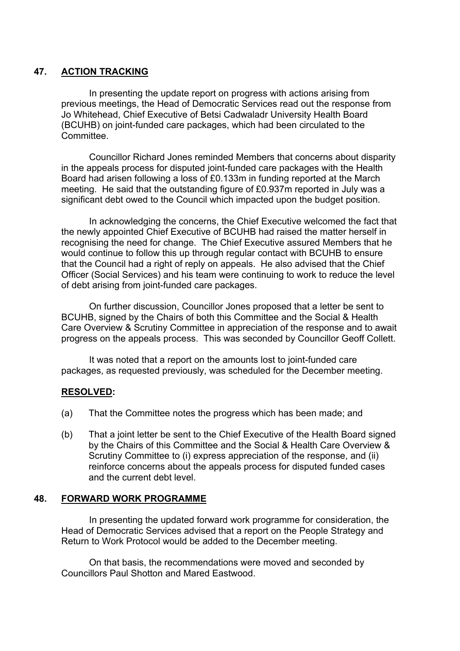# **47. ACTION TRACKING**

In presenting the update report on progress with actions arising from previous meetings, the Head of Democratic Services read out the response from Jo Whitehead, Chief Executive of Betsi Cadwaladr University Health Board (BCUHB) on joint-funded care packages, which had been circulated to the **Committee** 

Councillor Richard Jones reminded Members that concerns about disparity in the appeals process for disputed joint-funded care packages with the Health Board had arisen following a loss of £0.133m in funding reported at the March meeting. He said that the outstanding figure of £0.937m reported in July was a significant debt owed to the Council which impacted upon the budget position.

In acknowledging the concerns, the Chief Executive welcomed the fact that the newly appointed Chief Executive of BCUHB had raised the matter herself in recognising the need for change. The Chief Executive assured Members that he would continue to follow this up through regular contact with BCUHB to ensure that the Council had a right of reply on appeals. He also advised that the Chief Officer (Social Services) and his team were continuing to work to reduce the level of debt arising from joint-funded care packages.

On further discussion, Councillor Jones proposed that a letter be sent to BCUHB, signed by the Chairs of both this Committee and the Social & Health Care Overview & Scrutiny Committee in appreciation of the response and to await progress on the appeals process. This was seconded by Councillor Geoff Collett.

It was noted that a report on the amounts lost to joint-funded care packages, as requested previously, was scheduled for the December meeting.

### **RESOLVED:**

- (a) That the Committee notes the progress which has been made; and
- (b) That a joint letter be sent to the Chief Executive of the Health Board signed by the Chairs of this Committee and the Social & Health Care Overview & Scrutiny Committee to (i) express appreciation of the response, and (ii) reinforce concerns about the appeals process for disputed funded cases and the current debt level.

### **48. FORWARD WORK PROGRAMME**

In presenting the updated forward work programme for consideration, the Head of Democratic Services advised that a report on the People Strategy and Return to Work Protocol would be added to the December meeting.

On that basis, the recommendations were moved and seconded by Councillors Paul Shotton and Mared Eastwood.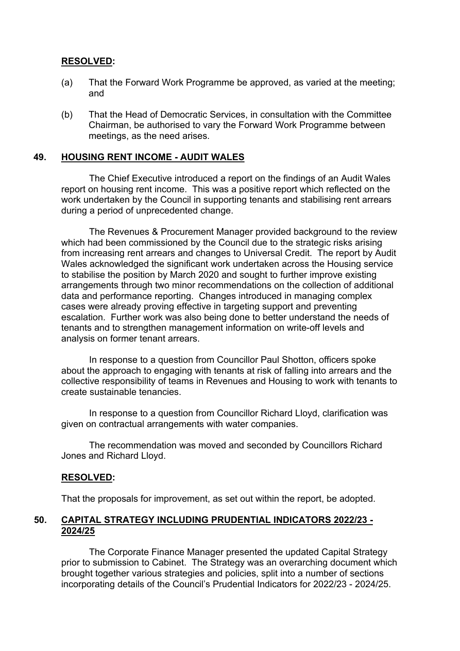### **RESOLVED:**

- (a) That the Forward Work Programme be approved, as varied at the meeting; and
- (b) That the Head of Democratic Services, in consultation with the Committee Chairman, be authorised to vary the Forward Work Programme between meetings, as the need arises.

### **49. HOUSING RENT INCOME - AUDIT WALES**

The Chief Executive introduced a report on the findings of an Audit Wales report on housing rent income. This was a positive report which reflected on the work undertaken by the Council in supporting tenants and stabilising rent arrears during a period of unprecedented change.

The Revenues & Procurement Manager provided background to the review which had been commissioned by the Council due to the strategic risks arising from increasing rent arrears and changes to Universal Credit. The report by Audit Wales acknowledged the significant work undertaken across the Housing service to stabilise the position by March 2020 and sought to further improve existing arrangements through two minor recommendations on the collection of additional data and performance reporting. Changes introduced in managing complex cases were already proving effective in targeting support and preventing escalation. Further work was also being done to better understand the needs of tenants and to strengthen management information on write-off levels and analysis on former tenant arrears.

In response to a question from Councillor Paul Shotton, officers spoke about the approach to engaging with tenants at risk of falling into arrears and the collective responsibility of teams in Revenues and Housing to work with tenants to create sustainable tenancies.

In response to a question from Councillor Richard Lloyd, clarification was given on contractual arrangements with water companies.

The recommendation was moved and seconded by Councillors Richard Jones and Richard Lloyd.

#### **RESOLVED:**

That the proposals for improvement, as set out within the report, be adopted.

#### **50. CAPITAL STRATEGY INCLUDING PRUDENTIAL INDICATORS 2022/23 - 2024/25**

The Corporate Finance Manager presented the updated Capital Strategy prior to submission to Cabinet. The Strategy was an overarching document which brought together various strategies and policies, split into a number of sections incorporating details of the Council's Prudential Indicators for 2022/23 - 2024/25.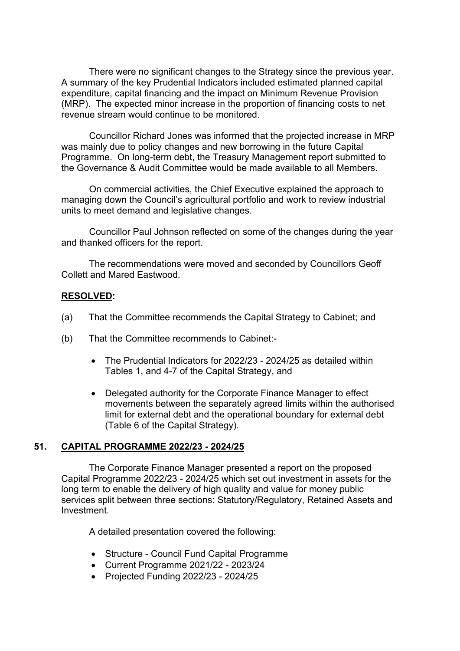There were no significant changes to the Strategy since the previous year. A summary of the key Prudential Indicators included estimated planned capital expenditure, capital financing and the impact on Minimum Revenue Provision (MRP). The expected minor increase in the proportion of financing costs to net revenue stream would continue to be monitored.

Councillor Richard Jones was informed that the projected increase in MRP was mainly due to policy changes and new borrowing in the future Capital Programme. On long-term debt, the Treasury Management report submitted to the Governance & Audit Committee would be made available to all Members.

On commercial activities, the Chief Executive explained the approach to managing down the Council's agricultural portfolio and work to review industrial units to meet demand and legislative changes.

Councillor Paul Johnson reflected on some of the changes during the year and thanked officers for the report.

The recommendations were moved and seconded by Councillors Geoff Collett and Mared Eastwood.

### **RESOLVED:**

- (a) That the Committee recommends the Capital Strategy to Cabinet; and
- (b) That the Committee recommends to Cabinet:-
	- The Prudential Indicators for 2022/23 2024/25 as detailed within Tables 1, and 4-7 of the Capital Strategy, and
	- Delegated authority for the Corporate Finance Manager to effect movements between the separately agreed limits within the authorised limit for external debt and the operational boundary for external debt (Table 6 of the Capital Strategy).

### **51. CAPITAL PROGRAMME 2022/23 - 2024/25**

The Corporate Finance Manager presented a report on the proposed Capital Programme 2022/23 - 2024/25 which set out investment in assets for the long term to enable the delivery of high quality and value for money public services split between three sections: Statutory/Regulatory, Retained Assets and **Investment** 

A detailed presentation covered the following:

- Structure Council Fund Capital Programme
- Current Programme 2021/22 2023/24
- Projected Funding 2022/23 2024/25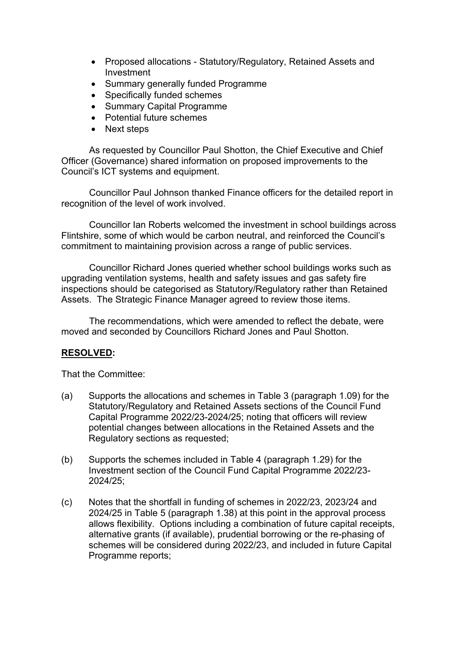- Proposed allocations Statutory/Regulatory, Retained Assets and Investment
- Summary generally funded Programme
- Specifically funded schemes
- Summary Capital Programme
- Potential future schemes
- Next steps

As requested by Councillor Paul Shotton, the Chief Executive and Chief Officer (Governance) shared information on proposed improvements to the Council's ICT systems and equipment.

Councillor Paul Johnson thanked Finance officers for the detailed report in recognition of the level of work involved.

Councillor Ian Roberts welcomed the investment in school buildings across Flintshire, some of which would be carbon neutral, and reinforced the Council's commitment to maintaining provision across a range of public services.

Councillor Richard Jones queried whether school buildings works such as upgrading ventilation systems, health and safety issues and gas safety fire inspections should be categorised as Statutory/Regulatory rather than Retained Assets. The Strategic Finance Manager agreed to review those items.

The recommendations, which were amended to reflect the debate, were moved and seconded by Councillors Richard Jones and Paul Shotton.

# **RESOLVED:**

That the Committee:

- (a) Supports the allocations and schemes in Table 3 (paragraph 1.09) for the Statutory/Regulatory and Retained Assets sections of the Council Fund Capital Programme 2022/23-2024/25; noting that officers will review potential changes between allocations in the Retained Assets and the Regulatory sections as requested;
- (b) Supports the schemes included in Table 4 (paragraph 1.29) for the Investment section of the Council Fund Capital Programme 2022/23- 2024/25;
- (c) Notes that the shortfall in funding of schemes in 2022/23, 2023/24 and 2024/25 in Table 5 (paragraph 1.38) at this point in the approval process allows flexibility. Options including a combination of future capital receipts, alternative grants (if available), prudential borrowing or the re-phasing of schemes will be considered during 2022/23, and included in future Capital Programme reports;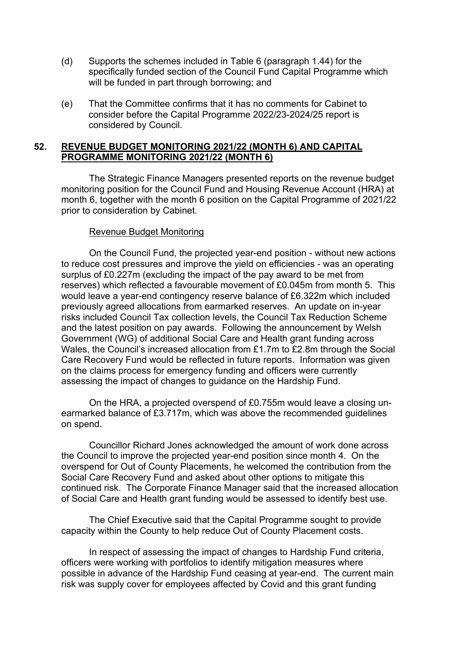- (d) Supports the schemes included in Table 6 (paragraph 1.44) for the specifically funded section of the Council Fund Capital Programme which will be funded in part through borrowing; and
- (e) That the Committee confirms that it has no comments for Cabinet to consider before the Capital Programme 2022/23-2024/25 report is considered by Council.

### **52. REVENUE BUDGET MONITORING 2021/22 (MONTH 6) AND CAPITAL PROGRAMME MONITORING 2021/22 (MONTH 6)**

The Strategic Finance Managers presented reports on the revenue budget monitoring position for the Council Fund and Housing Revenue Account (HRA) at month 6, together with the month 6 position on the Capital Programme of 2021/22 prior to consideration by Cabinet.

### Revenue Budget Monitoring

On the Council Fund, the projected year-end position - without new actions to reduce cost pressures and improve the yield on efficiencies - was an operating surplus of £0.227m (excluding the impact of the pay award to be met from reserves) which reflected a favourable movement of £0.045m from month 5. This would leave a year-end contingency reserve balance of £6.322m which included previously agreed allocations from earmarked reserves. An update on in-year risks included Council Tax collection levels, the Council Tax Reduction Scheme and the latest position on pay awards. Following the announcement by Welsh Government (WG) of additional Social Care and Health grant funding across Wales, the Council's increased allocation from £1.7m to £2.8m through the Social Care Recovery Fund would be reflected in future reports. Information was given on the claims process for emergency funding and officers were currently assessing the impact of changes to guidance on the Hardship Fund.

On the HRA, a projected overspend of £0.755m would leave a closing unearmarked balance of £3.717m, which was above the recommended guidelines on spend.

Councillor Richard Jones acknowledged the amount of work done across the Council to improve the projected year-end position since month 4. On the overspend for Out of County Placements, he welcomed the contribution from the Social Care Recovery Fund and asked about other options to mitigate this continued risk. The Corporate Finance Manager said that the increased allocation of Social Care and Health grant funding would be assessed to identify best use.

The Chief Executive said that the Capital Programme sought to provide capacity within the County to help reduce Out of County Placement costs.

In respect of assessing the impact of changes to Hardship Fund criteria, officers were working with portfolios to identify mitigation measures where possible in advance of the Hardship Fund ceasing at year-end. The current main risk was supply cover for employees affected by Covid and this grant funding